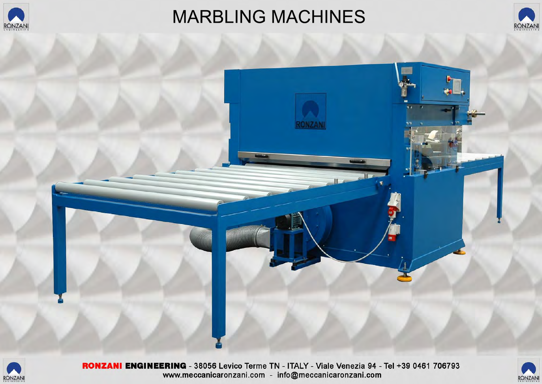

## **MARBLING MACHINES**





![](_page_0_Picture_4.jpeg)

RONZANI ENGINEERING - 38056 Levico Terme TN - ITALY - Viale Venezia 94 - Tel +39 0461 706793 www.meccanicaronzani.com - info@meccanicaronzani.com

![](_page_0_Picture_6.jpeg)